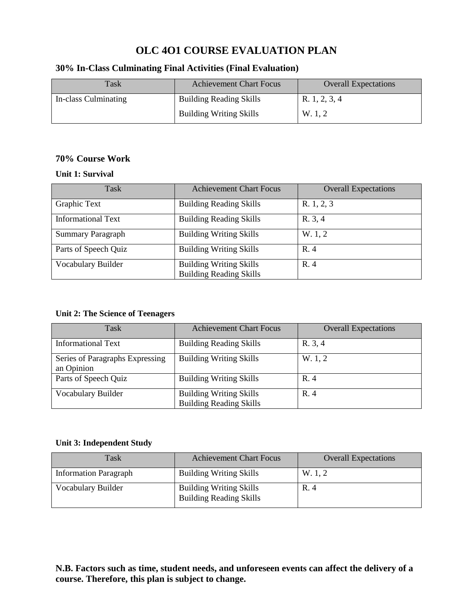## **OLC 4O1 COURSE EVALUATION PLAN**

## **30% In-Class Culminating Final Activities (Final Evaluation)**

| Task                 | <b>Achievement Chart Focus</b> | <b>Overall Expectations</b> |
|----------------------|--------------------------------|-----------------------------|
| In-class Culminating | <b>Building Reading Skills</b> | R. 1, 2, 3, 4               |
|                      | <b>Building Writing Skills</b> | W. 1, 2                     |

## **70% Course Work**

#### **Unit 1: Survival**

| Task                      | <b>Achievement Chart Focus</b>                                   | <b>Overall Expectations</b> |
|---------------------------|------------------------------------------------------------------|-----------------------------|
| Graphic Text              | <b>Building Reading Skills</b>                                   | R. 1, 2, 3                  |
| <b>Informational Text</b> | <b>Building Reading Skills</b>                                   | R. 3, 4                     |
| <b>Summary Paragraph</b>  | <b>Building Writing Skills</b>                                   | W. 1, 2                     |
| Parts of Speech Quiz      | <b>Building Writing Skills</b>                                   | R. 4                        |
| Vocabulary Builder        | <b>Building Writing Skills</b><br><b>Building Reading Skills</b> | R.4                         |

## **Unit 2: The Science of Teenagers**

| Task                                          | <b>Achievement Chart Focus</b>                                   | <b>Overall Expectations</b> |
|-----------------------------------------------|------------------------------------------------------------------|-----------------------------|
| Informational Text                            | <b>Building Reading Skills</b>                                   | R. 3, 4                     |
| Series of Paragraphs Expressing<br>an Opinion | <b>Building Writing Skills</b>                                   | W. 1, 2                     |
| Parts of Speech Quiz                          | <b>Building Writing Skills</b>                                   | R.4                         |
| Vocabulary Builder                            | <b>Building Writing Skills</b><br><b>Building Reading Skills</b> | R.4                         |

## **Unit 3: Independent Study**

| Task                         | <b>Achievement Chart Focus</b>                                   | <b>Overall Expectations</b> |
|------------------------------|------------------------------------------------------------------|-----------------------------|
| <b>Information Paragraph</b> | <b>Building Writing Skills</b>                                   | W. 1.2                      |
| Vocabulary Builder           | <b>Building Writing Skills</b><br><b>Building Reading Skills</b> | R. 4                        |

## **N.B. Factors such as time, student needs, and unforeseen events can affect the delivery of a course. Therefore, this plan is subject to change.**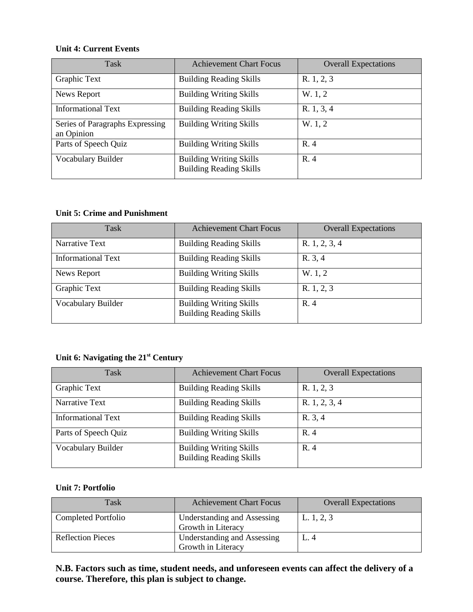#### **Unit 4: Current Events**

| Task                                          | <b>Achievement Chart Focus</b>                                   | <b>Overall Expectations</b> |
|-----------------------------------------------|------------------------------------------------------------------|-----------------------------|
| Graphic Text                                  | <b>Building Reading Skills</b>                                   | R. 1, 2, 3                  |
| News Report                                   | <b>Building Writing Skills</b>                                   | W. 1, 2                     |
| <b>Informational Text</b>                     | <b>Building Reading Skills</b>                                   | R. 1, 3, 4                  |
| Series of Paragraphs Expressing<br>an Opinion | <b>Building Writing Skills</b>                                   | W. 1, 2                     |
| Parts of Speech Quiz                          | <b>Building Writing Skills</b>                                   | R. 4                        |
| Vocabulary Builder                            | <b>Building Writing Skills</b><br><b>Building Reading Skills</b> | R. 4                        |

## **Unit 5: Crime and Punishment**

| Task                      | <b>Achievement Chart Focus</b>                                   | <b>Overall Expectations</b> |
|---------------------------|------------------------------------------------------------------|-----------------------------|
| Narrative Text            | <b>Building Reading Skills</b>                                   | R. $1, 2, 3, 4$             |
| <b>Informational Text</b> | <b>Building Reading Skills</b>                                   | R. 3, 4                     |
| News Report               | <b>Building Writing Skills</b>                                   | W. 1, 2                     |
| Graphic Text              | <b>Building Reading Skills</b>                                   | R. 1, 2, 3                  |
| Vocabulary Builder        | <b>Building Writing Skills</b><br><b>Building Reading Skills</b> | R.4                         |

# **Unit 6: Navigating the 21st Century**

| Task                      | <b>Achievement Chart Focus</b>                                   | <b>Overall Expectations</b> |
|---------------------------|------------------------------------------------------------------|-----------------------------|
| Graphic Text              | <b>Building Reading Skills</b>                                   | R. 1, 2, 3                  |
| Narrative Text            | <b>Building Reading Skills</b>                                   | R. 1, 2, 3, 4               |
| <b>Informational Text</b> | <b>Building Reading Skills</b>                                   | R. 3, 4                     |
| Parts of Speech Quiz      | <b>Building Writing Skills</b>                                   | R. 4                        |
| Vocabulary Builder        | <b>Building Writing Skills</b><br><b>Building Reading Skills</b> | R. 4                        |

#### **Unit 7: Portfolio**

| Task                     | <b>Achievement Chart Focus</b>                    | <b>Overall Expectations</b> |
|--------------------------|---------------------------------------------------|-----------------------------|
| Completed Portfolio      | Understanding and Assessing<br>Growth in Literacy | L. $1, 2, 3$                |
| <b>Reflection Pieces</b> | Understanding and Assessing<br>Growth in Literacy | L. 4                        |

**N.B. Factors such as time, student needs, and unforeseen events can affect the delivery of a course. Therefore, this plan is subject to change.**